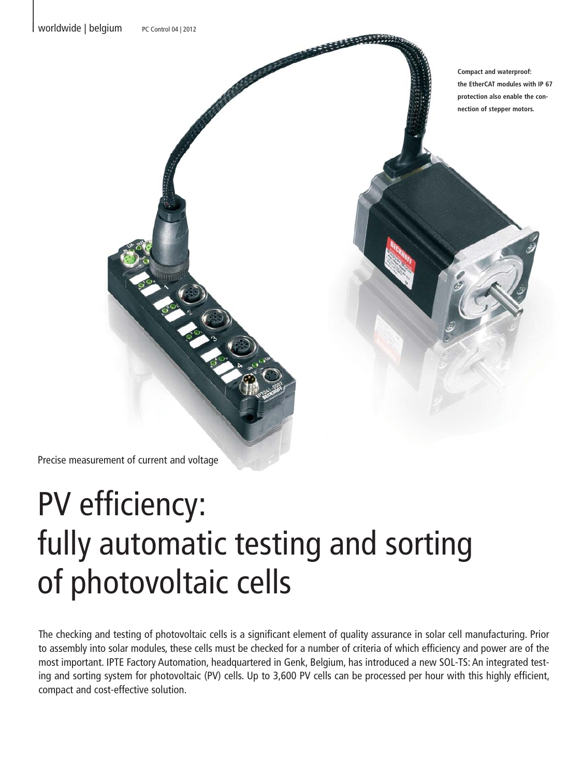**Compact and waterproof: the EtherCAT modules with IP 67 protection also enable the connection of stepper motors.**

Precise measurement of current and voltage

## PV efficiency: fully automatic testing and sorting of photovoltaic cells

The checking and testing of photovoltaic cells is a significant element of quality assurance in solar cell manufacturing. Prior to assembly into solar modules, these cells must be checked for a number of criteria of which efficiency and power are of the most important. IPTE Factory Automation, headquartered in Genk, Belgium, has introduced a new SOL-TS: An integrated testing and sorting system for photovoltaic (PV) cells. Up to 3,600 PV cells can be processed per hour with this highly efficient, compact and cost-effective solution.